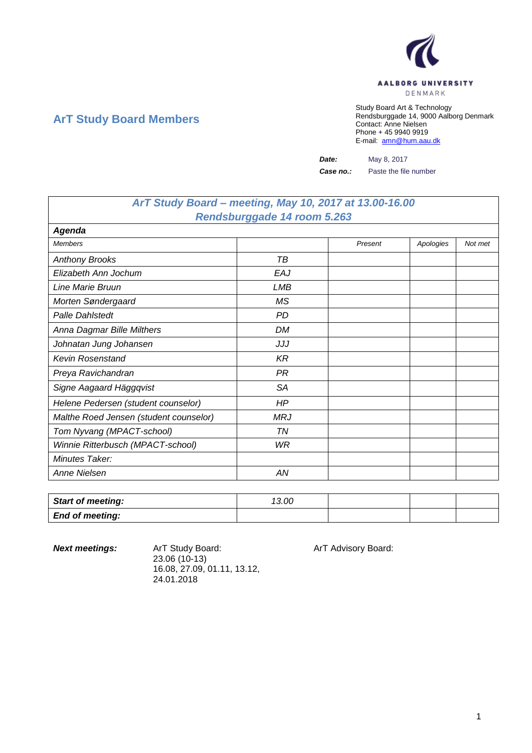

## **ArT Study Board Members**

Study Board Art & Technology Rendsburggade 14, 9000 Aalborg Denmark Contact: Anne Nielsen Phone + 45 9940 9919 E-mail: [amn@hum.aau.dk](mailto:amn@hum.aau.dk)

*Date:* May 8, 2017

*Case no.:* Paste the file number

## *ArT Study Board – meeting, May 10, 2017 at 13.00-16.00 Rendsburggade 14 room 5.263*

| <b>Agenda</b>                          |            |         |           |         |
|----------------------------------------|------------|---------|-----------|---------|
| <b>Members</b>                         |            | Present | Apologies | Not met |
| <b>Anthony Brooks</b>                  | TВ         |         |           |         |
| Elizabeth Ann Jochum                   | EAJ        |         |           |         |
| Line Marie Bruun                       | LMB        |         |           |         |
| Morten Søndergaard                     | ΜS         |         |           |         |
| <b>Palle Dahlstedt</b>                 | PD         |         |           |         |
| Anna Dagmar Bille Milthers             | DM         |         |           |         |
| Johnatan Jung Johansen                 | JJJ        |         |           |         |
| <b>Kevin Rosenstand</b>                | KR         |         |           |         |
| Preya Ravichandran                     | PR         |         |           |         |
| Signe Aagaard Häggqvist                | <b>SA</b>  |         |           |         |
| Helene Pedersen (student counselor)    | HP         |         |           |         |
| Malthe Roed Jensen (student counselor) | <b>MRJ</b> |         |           |         |
| Tom Nyvang (MPACT-school)              | TN         |         |           |         |
| Winnie Ritterbusch (MPACT-school)      | WR         |         |           |         |
| <b>Minutes Taker:</b>                  |            |         |           |         |
| Anne Nielsen                           | ΑN         |         |           |         |

| <b>Start of meeting:</b> | 13.00 |  |  |
|--------------------------|-------|--|--|
| <b>End of meeting:</b>   |       |  |  |

**Next meetings:** ArT Study Board: ArT Advisory Board: 23.06 (10-13) 16.08, 27.09, 01.11, 13.12, 24.01.2018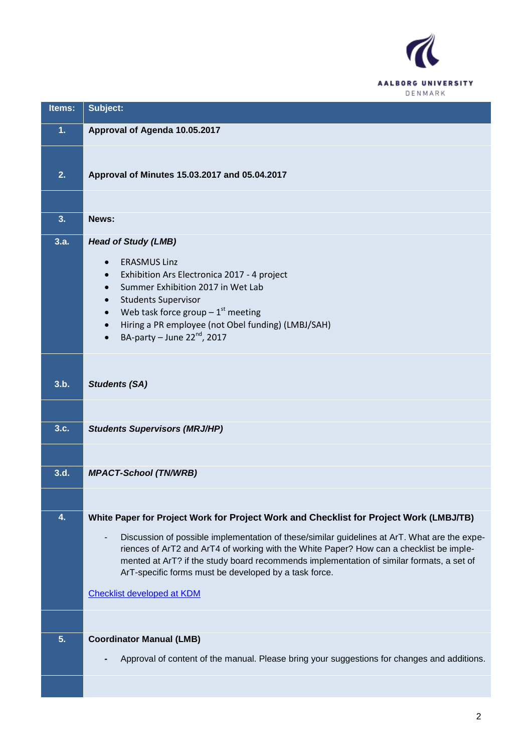

| Items: | Subject:                                                                                                                                          |
|--------|---------------------------------------------------------------------------------------------------------------------------------------------------|
| 1.     | Approval of Agenda 10.05.2017                                                                                                                     |
|        |                                                                                                                                                   |
| 2.     | Approval of Minutes 15.03.2017 and 05.04.2017                                                                                                     |
|        |                                                                                                                                                   |
| 3.     | News:                                                                                                                                             |
| 3.a.   | <b>Head of Study (LMB)</b>                                                                                                                        |
|        | <b>ERASMUS Linz</b><br>$\bullet$                                                                                                                  |
|        | Exhibition Ars Electronica 2017 - 4 project<br>$\bullet$                                                                                          |
|        | Summer Exhibition 2017 in Wet Lab                                                                                                                 |
|        | <b>Students Supervisor</b><br>Web task force group $-1st$ meeting                                                                                 |
|        | Hiring a PR employee (not Obel funding) (LMBJ/SAH)<br>$\bullet$                                                                                   |
|        | BA-party - June $22^{nd}$ , 2017                                                                                                                  |
|        |                                                                                                                                                   |
|        |                                                                                                                                                   |
| 3.b.   | <b>Students (SA)</b>                                                                                                                              |
|        |                                                                                                                                                   |
|        |                                                                                                                                                   |
| 3.c.   | <b>Students Supervisors (MRJ/HP)</b>                                                                                                              |
|        |                                                                                                                                                   |
| 3.d.   | <b>MPACT-School (TN/WRB)</b>                                                                                                                      |
|        |                                                                                                                                                   |
|        |                                                                                                                                                   |
| 4.     | White Paper for Project Work for Project Work and Checklist for Project Work (LMBJ/TB)                                                            |
|        | Discussion of possible implementation of these/similar guidelines at ArT. What are the expe-                                                      |
|        | riences of ArT2 and ArT4 of working with the White Paper? How can a checklist be imple-                                                           |
|        | mented at ArT? if the study board recommends implementation of similar formats, a set of<br>ArT-specific forms must be developed by a task force. |
|        |                                                                                                                                                   |
|        | <b>Checklist developed at KDM</b>                                                                                                                 |
|        |                                                                                                                                                   |
| 5.     | <b>Coordinator Manual (LMB)</b>                                                                                                                   |
|        | Approval of content of the manual. Please bring your suggestions for changes and additions.                                                       |
|        |                                                                                                                                                   |
|        |                                                                                                                                                   |